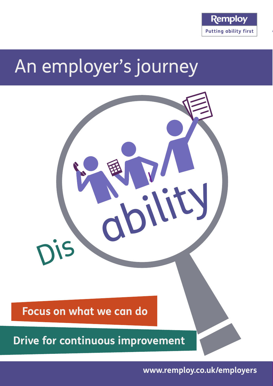

# An employer's journey



**www.remploy.co.uk/employers**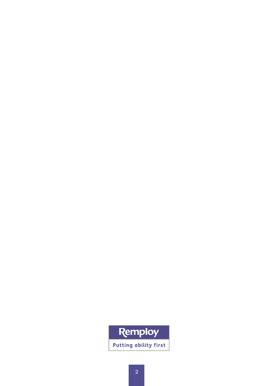## Remploy **Putting ability first**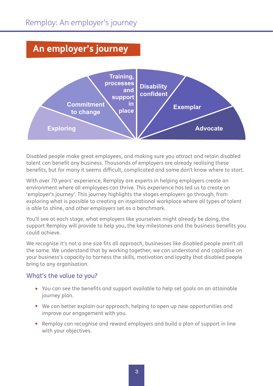### **An employer's journey**



Disabled people make great employees, and making sure you attract and retain disabled talent can benefit any business. Thousands of employers are already realising these benefits, but for many it seems difficult, complicated and some don't know where to start.

With over 70 years' experience, Remploy are experts in helping employers create an environment where all employees can thrive. This experience has led us to create an 'employer's journey'. This journey highlights the stages employers go through, from exploring what is possible to creating an inspirational workplace where all types of talent is able to shine, and other employers set as a benchmark.

You'll see at each stage, what employers like yourselves might already be doing, the support Remploy will provide to help you, the key milestones and the business benefits you could achieve.

We recognise it's not a one size fits all approach, businesses like disabled people aren't all the same. We understand that by working together, we can understand and capitalise on your business's capacity to harness the skills, motivation and loyalty that disabled people bring to any organisation.

#### What's the value to you?

- You can see the benefits and support available to help set goals on an attainable journey plan.
- We can better explain our approach, helping to open up new opportunities and improve our engagement with you.
- Remploy can recognise and reward employers and build a plan of support in line with your objectives.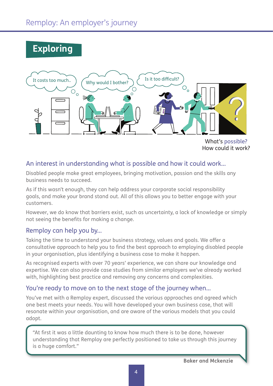## **Exploring**



How could it work?

#### An interest in understanding what is possible and how it could work...

Disabled people make great employees, bringing motivation, passion and the skills any business needs to succeed.

As if this wasn't enough, they can help address your corporate social responsibility goals, and make your brand stand out. All of this allows you to better engage with your customers.

However, we do know that barriers exist, such as uncertainty, a lack of knowledge or simply not seeing the benefits for making a change.

#### Remploy can help you by...

Taking the time to understand your business strategy, values and goals. We offer a consultative approach to help you to find the best approach to employing disabled people in your organisation, plus identifying a business case to make it happen.

As recognised experts with over 70 years' experience, we can share our knowledge and expertise. We can also provide case studies from similar employers we've already worked with, highlighting best practice and removing any concerns and complexities.

#### You're ready to move on to the next stage of the journey when...

You've met with a Remploy expert, discussed the various approaches and agreed which one best meets your needs. You will have developed your own business case, that will resonate within your organisation, and are aware of the various models that you could adopt.

"At first it was a little daunting to know how much there is to be done, however understanding that Remploy are perfectly positioned to take us through this journey is a huge comfort."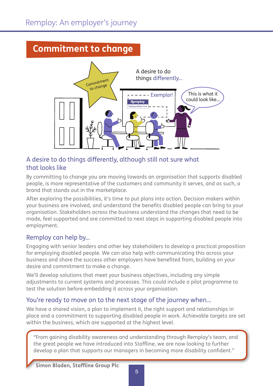## **Commitment to change**



### A desire to do things differently, although still not sure what that looks like

By committing to change you are moving towards an organisation that supports disabled people, is more representative of the customers and community it serves, and as such, a brand that stands out in the marketplace.

After exploring the possibilities, it's time to put plans into action. Decision makers within your business are involved, and understand the benefits disabled people can bring to your organisation. Stakeholders across the business understand the changes that need to be made, feel supported and are committed to next steps in supporting disabled people into employment.

#### Remploy can help by...

Engaging with senior leaders and other key stakeholders to develop a practical proposition for employing disabled people. We can also help with communicating this across your business and share the success other employers have benefited from, building on your desire and commitment to make a change.

We'll develop solutions that meet your business objectives, including any simple adjustments to current systems and processes. This could include a pilot programme to test the solution before embedding it across your organisation.

#### You're ready to move on to the next stage of the journey when...

We have a shared vision, a plan to implement it, the right support and relationships in place and a commitment to supporting disabled people in work. Achievable targets are set within the business, which are supported at the highest level.

"From gaining disability awareness and understanding through Remploy's team, and the great people we have introduced into Staffline, we are now looking to further develop a plan that supports our managers in becoming more disability confident."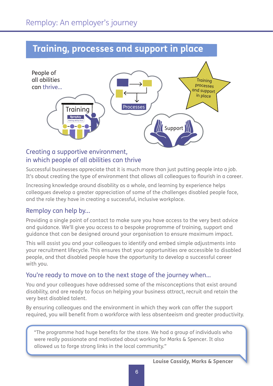#### **Training, processes and support in place** Training Processes

processes

in place



#### Creating a supportive environment, in which people of all abilities can thrive

Successful businesses appreciate that it is much more than just putting people into a job. It's about creating the type of environment that allows all colleagues to flourish in a career.

Increasing knowledge around disability as a whole, and learning by experience helps colleagues develop a greater appreciation of some of the challenges disabled people face, and the role they have in creating a successful, inclusive workplace.

#### Remploy can help by...

Providing a single point of contact to make sure you have access to the very best advice and guidance. We'll give you access to a bespoke programme of training, support and guidance that can be designed around your organisation to ensure maximum impact.

This will assist you and your colleagues to identify and embed simple adjustments into your recruitment lifecycle. This ensures that your opportunities are accessible to disabled people, and that disabled people have the opportunity to develop a successful career with you.

#### You're ready to move on to the next stage of the journey when...

You and your colleagues have addressed some of the misconceptions that exist around disability, and are ready to focus on helping your business attract, recruit and retain the very best disabled talent.

By ensuring colleagues and the environment in which they work can offer the support required, you will benefit from a workforce with less absenteeism and greater productivity.

"The programme had huge benefits for the store. We had a group of individuals who were really passionate and motivated about working for Marks & Spencer. It also allowed us to forge strong links in the local community."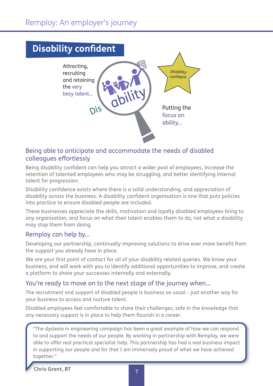

#### Being able to anticipate and accommodate the needs of disabled colleagues effortlessly

Being disability confident can help you attract a wider pool of employees, increase the retention of talented employees who may be struggling, and better identifying internal talent for progression.

Disability confidence exists where there is a solid understanding, and appreciation of disability across the business. A disability confident organisation is one that puts policies into practice to ensure disabled people are included.

These businesses appreciate the skills, motivation and loyalty disabled employees bring to any organisation, and focus on what their talent enables them to do, not what a disability may stop them from doing.

#### Remploy can help by...

Developing our partnership, continually improving solutions to drive ever more benefit from the support you already have in place.

We are your first point of contact for all of your disability related queries. We know your business, and will work with you to identify additional opportunities to improve, and create a platform to share your successes internally and externally.

#### You're ready to move on to the next stage of the journey when...

The recruitment and support of disabled people is business as usual – just another way for your business to access and nurture talent.

Disabled employees feel comfortable to share their challenges, safe in the knowledge that any necessary support is in place to help them flourish in a career.

"The dyslexia in engineering campaign has been a great example of how we can respond to and support the needs of our people. By working in partnership with Remploy, we were able to offer real practical specialist help. This partnership has had a real business impact in supporting our people and for that I am immensely proud of what we have achieved together."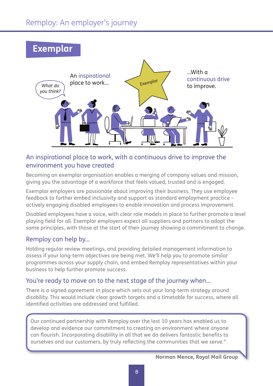## **Exemplar**



#### An inspirational place to work, with a continuous drive to improve the environment you have created

Becoming an exemplar organisation enables a merging of company values and mission, giving you the advantage of a workforce that feels valued, trusted and is engaged.

Exemplar employers are passionate about improving their business. They use employee feedback to further embed inclusivity and support as standard employment practice – actively engaging disabled employees to enable innovation and process improvement.

Disabled employees have a voice, with clear role models in place to further promote a level playing field for all. Exemplar employers expect all suppliers and partners to adopt the same principles, with those at the start of their journey showing a commitment to change.

#### Remploy can help by...

Holding regular review meetings, and providing detailed management information to assess if your long-term objectives are being met. We'll help you to promote similar programmes across your supply chain, and embed Remploy representatives within your business to help further promote success.

#### You're ready to move on to the next stage of the journey when...

There is a signed agreement in place which sets out your long-term strategy around disability. This would include clear growth targets and a timetable for success, where all identified activities are addressed and fulfilled.

Our continued partnership with Remploy over the last 10 years has enabled us to develop and evidence our commitment to creating an environment where anyone can flourish. Incorporating disability in all that we do delivers fantastic benefits to ourselves and our customers, by truly reflecting the communities that we serve."

**Norman Mence, Royal Mail Group**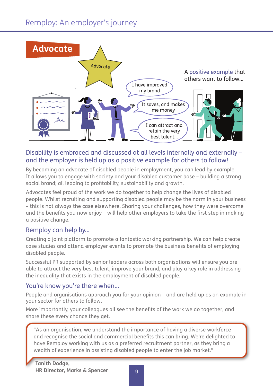

#### Disability is embraced and discussed at all levels internally and externally – and the employer is held up as a positive example for others to follow!

By becoming an advocate of disabled people in employment, you can lead by example. It allows you to engage with society and your disabled customer base – building a strong social brand; all leading to profitability, sustainability and growth.

Advocates feel proud of the work we do together to help change the lives of disabled people. Whilst recruiting and supporting disabled people may be the norm in your business – this is not always the case elsewhere. Sharing your challenges, how they were overcome and the benefits you now enjoy – will help other employers to take the first step in making a positive change.

#### Remploy can help by...

Creating a joint platform to promote a fantastic working partnership. We can help create case studies and attend employer events to promote the business benefits of employing disabled people.

Successful PR supported by senior leaders across both organisations will ensure you are able to attract the very best talent, improve your brand, and play a key role in addressing the inequality that exists in the employment of disabled people.

#### You're know you're there when...

People and organisations approach you for your opinion – and are held up as an example in your sector for others to follow.

More importantly, your colleagues all see the benefits of the work we do together, and share these every chance they get.

"As an organisation, we understand the importance of having a diverse workforce and recognise the social and commercial benefits this can bring. We're delighted to have Remploy working with us as a preferred recruitment partner, as they bring a wealth of experience in assisting disabled people to enter the job market."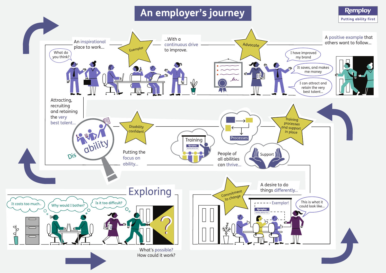## **An employer's journey**

![](_page_9_Figure_1.jpeg)